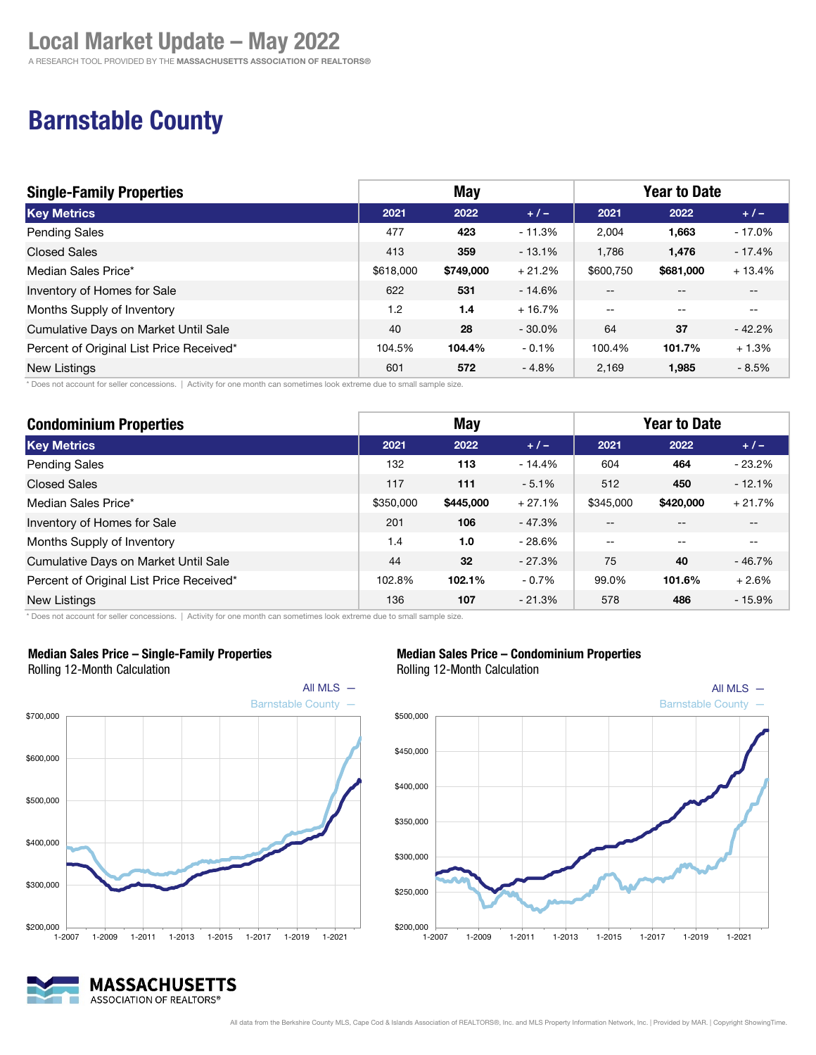A RESEARCH TOOL PROVIDED BY THE MASSACHUSETTS ASSOCIATION OF REALTORS®

### Barnstable County

| <b>Single-Family Properties</b>          | <b>May</b> |           |           | <b>Year to Date</b> |                          |          |
|------------------------------------------|------------|-----------|-----------|---------------------|--------------------------|----------|
| <b>Key Metrics</b>                       | 2021       | 2022      | $+1-$     | 2021                | 2022                     | $+/-$    |
| <b>Pending Sales</b>                     | 477        | 423       | $-11.3%$  | 2,004               | 1,663                    | $-17.0%$ |
| <b>Closed Sales</b>                      | 413        | 359       | $-13.1%$  | 1.786               | 1,476                    | $-17.4%$ |
| Median Sales Price*                      | \$618,000  | \$749,000 | $+21.2%$  | \$600.750           | \$681,000                | $+13.4%$ |
| Inventory of Homes for Sale              | 622        | 531       | $-14.6%$  | $- -$               | $- -$                    | $- -$    |
| Months Supply of Inventory               | 1.2        | 1.4       | $+16.7%$  | $\sim$ $\sim$       | $\overline{\phantom{m}}$ | $- -$    |
| Cumulative Days on Market Until Sale     | 40         | 28        | $-30.0\%$ | 64                  | 37                       | $-42.2%$ |
| Percent of Original List Price Received* | 104.5%     | 104.4%    | $-0.1%$   | 100.4%              | 101.7%                   | $+1.3%$  |
| <b>New Listings</b>                      | 601        | 572       | $-4.8%$   | 2.169               | 1,985                    | $-8.5%$  |

\* Does not account for seller concessions. | Activity for one month can sometimes look extreme due to small sample size.

| <b>Condominium Properties</b>            | <b>May</b> |           |          | <b>Year to Date</b> |           |          |
|------------------------------------------|------------|-----------|----------|---------------------|-----------|----------|
| <b>Key Metrics</b>                       | 2021       | 2022      | $+/-$    | 2021                | 2022      | $+/-$    |
| Pending Sales                            | 132        | 113       | $-14.4%$ | 604                 | 464       | $-23.2%$ |
| <b>Closed Sales</b>                      | 117        | 111       | $-5.1%$  | 512                 | 450       | $-12.1%$ |
| Median Sales Price*                      | \$350,000  | \$445,000 | $+27.1%$ | \$345,000           | \$420,000 | $+21.7%$ |
| Inventory of Homes for Sale              | 201        | 106       | $-47.3%$ | $- -$               |           |          |
| Months Supply of Inventory               | 1.4        | 1.0       | $-28.6%$ | $- -$               | --        | $-$      |
| Cumulative Days on Market Until Sale     | 44         | 32        | $-27.3%$ | 75                  | 40        | $-46.7%$ |
| Percent of Original List Price Received* | 102.8%     | 102.1%    | $-0.7%$  | 99.0%               | 101.6%    | $+2.6%$  |
| <b>New Listings</b>                      | 136        | 107       | $-21.3%$ | 578                 | 486       | $-15.9%$ |

\* Does not account for seller concessions. | Activity for one month can sometimes look extreme due to small sample size.



#### Median Sales Price – Single-Family Properties

Rolling 12-Month Calculation



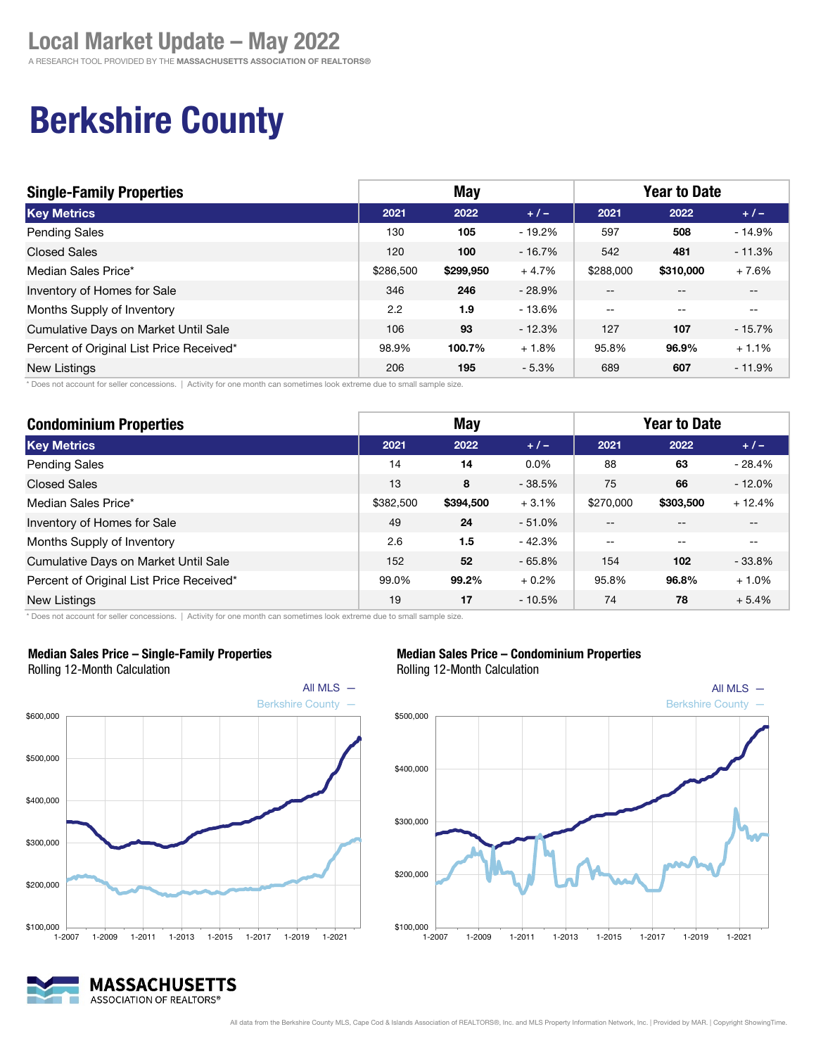## Berkshire County

| <b>Single-Family Properties</b>          | May       |           |          | <b>Year to Date</b>      |               |          |
|------------------------------------------|-----------|-----------|----------|--------------------------|---------------|----------|
| <b>Key Metrics</b>                       | 2021      | 2022      | $+/-$    | 2021                     | 2022          | $+/-$    |
| <b>Pending Sales</b>                     | 130       | 105       | - 19.2%  | 597                      | 508           | $-14.9%$ |
| <b>Closed Sales</b>                      | 120       | 100       | $-16.7%$ | 542                      | 481           | $-11.3%$ |
| Median Sales Price*                      | \$286,500 | \$299,950 | $+4.7%$  | \$288,000                | \$310,000     | $+7.6%$  |
| Inventory of Homes for Sale              | 346       | 246       | $-28.9%$ | $\overline{\phantom{a}}$ | $- -$         | $- -$    |
| Months Supply of Inventory               | 2.2       | 1.9       | $-13.6%$ | $\sim$ $\sim$            | $\sim$ $\sim$ | --       |
| Cumulative Days on Market Until Sale     | 106       | 93        | $-12.3%$ | 127                      | 107           | $-15.7%$ |
| Percent of Original List Price Received* | 98.9%     | 100.7%    | $+1.8%$  | 95.8%                    | 96.9%         | $+1.1%$  |
| New Listings                             | 206       | 195       | $-5.3%$  | 689                      | 607           | $-11.9%$ |

\* Does not account for seller concessions. | Activity for one month can sometimes look extreme due to small sample size.

| <b>Condominium Properties</b>            | <b>May</b> |           |          | <b>Year to Date</b> |           |          |
|------------------------------------------|------------|-----------|----------|---------------------|-----------|----------|
| <b>Key Metrics</b>                       | 2021       | 2022      | $+/-$    | 2021                | 2022      | $+/-$    |
| <b>Pending Sales</b>                     | 14         | 14        | 0.0%     | 88                  | 63        | $-28.4%$ |
| <b>Closed Sales</b>                      | 13         | 8         | $-38.5%$ | 75                  | 66        | $-12.0%$ |
| Median Sales Price*                      | \$382,500  | \$394,500 | $+3.1%$  | \$270,000           | \$303,500 | $+12.4%$ |
| Inventory of Homes for Sale              | 49         | 24        | $-51.0%$ | --                  |           |          |
| Months Supply of Inventory               | 2.6        | 1.5       | $-42.3%$ | $-$                 | --        |          |
| Cumulative Days on Market Until Sale     | 152        | 52        | $-65.8%$ | 154                 | 102       | $-33.8%$ |
| Percent of Original List Price Received* | 99.0%      | 99.2%     | $+0.2%$  | 95.8%               | 96.8%     | $+1.0%$  |
| <b>New Listings</b>                      | 19         | 17        | $-10.5%$ | 74                  | 78        | $+5.4%$  |

\* Does not account for seller concessions. | Activity for one month can sometimes look extreme due to small sample size.



MASSACHUSETTS ASSOCIATION OF REALTORS®

#### Median Sales Price – Single-Family Properties Rolling 12-Month Calculation





#### Median Sales Price – Condominium Properties

All data from the Berkshire County MLS, Cape Cod & Islands Association of REALTORS®, Inc. and MLS Property Information Network, Inc. | Provided by MAR. | Copyright ShowingTime.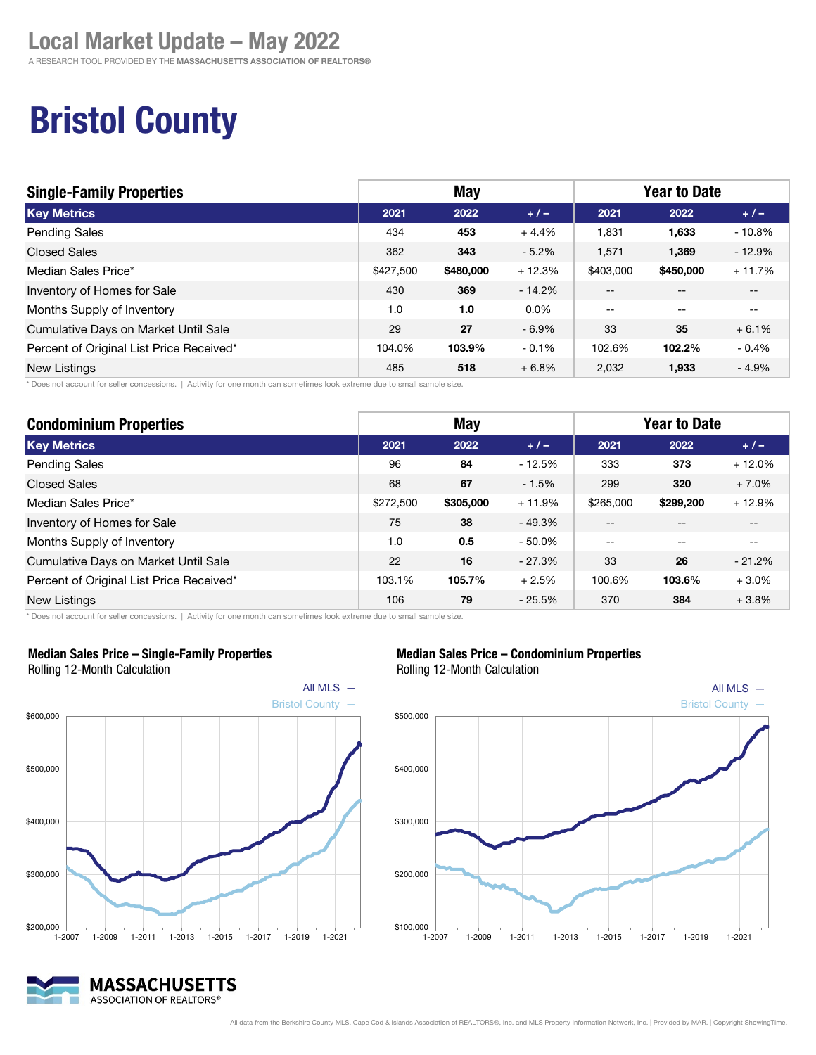A RESEARCH TOOL PROVIDED BY THE MASSACHUSETTS ASSOCIATION OF REALTORS®

## Bristol County

| <b>Single-Family Properties</b>          | <b>May</b> |           |          | <b>Year to Date</b>      |                          |          |
|------------------------------------------|------------|-----------|----------|--------------------------|--------------------------|----------|
| <b>Key Metrics</b>                       | 2021       | 2022      | $+ 1 -$  | 2021                     | 2022                     | $+/-$    |
| <b>Pending Sales</b>                     | 434        | 453       | $+4.4%$  | 1.831                    | 1,633                    | $-10.8%$ |
| <b>Closed Sales</b>                      | 362        | 343       | $-5.2\%$ | 1.571                    | 1,369                    | $-12.9%$ |
| Median Sales Price*                      | \$427,500  | \$480,000 | $+12.3%$ | \$403,000                | \$450,000                | $+11.7%$ |
| Inventory of Homes for Sale              | 430        | 369       | $-14.2%$ | $-$                      | $- -$                    | --       |
| Months Supply of Inventory               | 1.0        | 1.0       | $0.0\%$  | $\overline{\phantom{m}}$ | $\overline{\phantom{m}}$ | $- -$    |
| Cumulative Days on Market Until Sale     | 29         | 27        | $-6.9\%$ | 33                       | 35                       | $+6.1%$  |
| Percent of Original List Price Received* | 104.0%     | 103.9%    | $-0.1%$  | 102.6%                   | 102.2%                   | $-0.4%$  |
| <b>New Listings</b>                      | 485        | 518       | $+6.8%$  | 2.032                    | 1,933                    | $-4.9%$  |

\* Does not account for seller concessions. | Activity for one month can sometimes look extreme due to small sample size.

| <b>Condominium Properties</b>            | <b>May</b> |           |           | <b>Year to Date</b> |           |          |
|------------------------------------------|------------|-----------|-----------|---------------------|-----------|----------|
| <b>Key Metrics</b>                       | 2021       | 2022      | $+/-$     | 2021                | 2022      | $+/-$    |
| <b>Pending Sales</b>                     | 96         | 84        | $-12.5%$  | 333                 | 373       | $+12.0%$ |
| <b>Closed Sales</b>                      | 68         | 67        | $-1.5%$   | 299                 | 320       | $+7.0%$  |
| Median Sales Price*                      | \$272,500  | \$305,000 | $+11.9%$  | \$265,000           | \$299.200 | $+12.9%$ |
| Inventory of Homes for Sale              | 75         | 38        | $-49.3%$  | --                  |           |          |
| Months Supply of Inventory               | 1.0        | 0.5       | $-50.0\%$ | $-$                 |           |          |
| Cumulative Days on Market Until Sale     | 22         | 16        | $-27.3%$  | 33                  | 26        | $-21.2%$ |
| Percent of Original List Price Received* | 103.1%     | 105.7%    | $+2.5%$   | 100.6%              | 103.6%    | $+3.0%$  |
| New Listings                             | 106        | 79        | $-25.5%$  | 370                 | 384       | $+3.8%$  |

\* Does not account for seller concessions. | Activity for one month can sometimes look extreme due to small sample size.



#### Median Sales Price – Single-Family Properties Rolling 12-Month Calculation



Median Sales Price – Condominium Properties

Rolling 12-Month Calculation



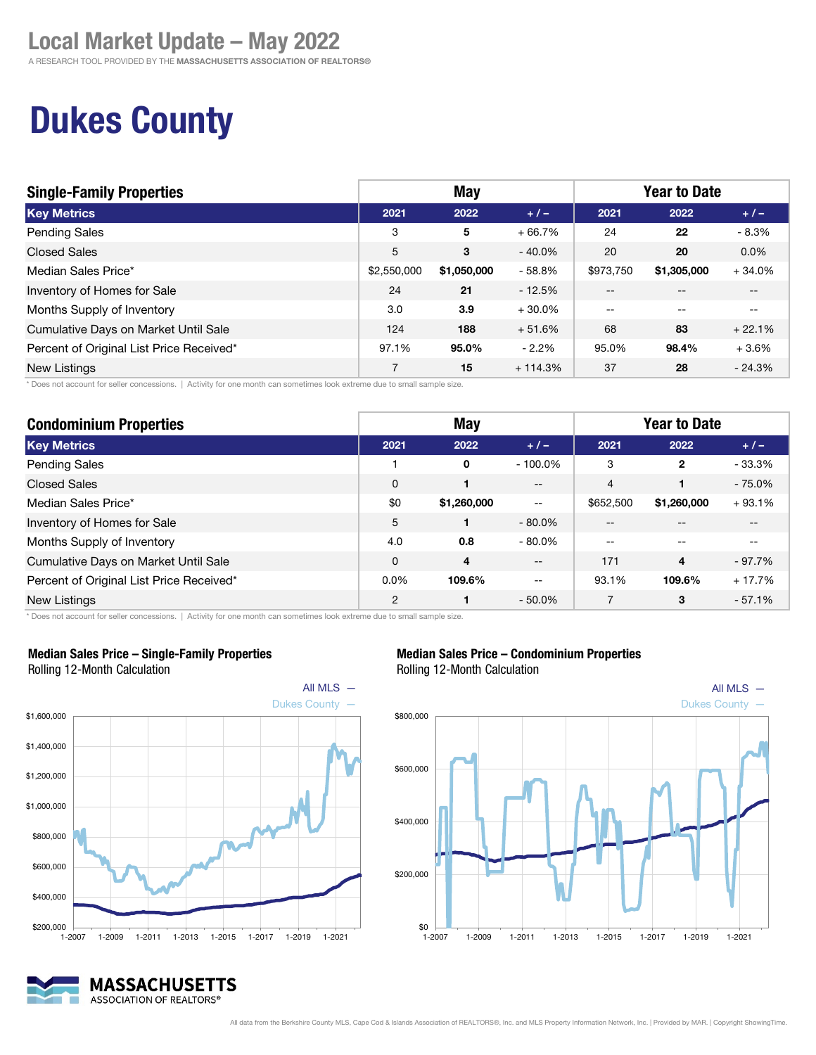A RESEARCH TOOL PROVIDED BY THE MASSACHUSETTS ASSOCIATION OF REALTORS®

## Dukes County

| <b>Single-Family Properties</b>          | <b>May</b>  |             |           | <b>Year to Date</b> |             |          |
|------------------------------------------|-------------|-------------|-----------|---------------------|-------------|----------|
| <b>Key Metrics</b>                       | 2021        | 2022        | $+/-$     | 2021                | 2022        | $+/-$    |
| <b>Pending Sales</b>                     | 3           | 5           | $+66.7%$  | 24                  | 22          | $-8.3%$  |
| <b>Closed Sales</b>                      | 5           | 3           | $-40.0\%$ | 20                  | 20          | $0.0\%$  |
| Median Sales Price*                      | \$2,550,000 | \$1,050,000 | $-58.8%$  | \$973.750           | \$1,305,000 | $+34.0%$ |
| Inventory of Homes for Sale              | 24          | 21          | $-12.5%$  | $- -$               |             | --       |
| Months Supply of Inventory               | 3.0         | 3.9         | $+30.0\%$ | $-$                 | $-$         | $- -$    |
| Cumulative Days on Market Until Sale     | 124         | 188         | $+51.6%$  | 68                  | 83          | $+22.1%$ |
| Percent of Original List Price Received* | 97.1%       | 95.0%       | $-2.2%$   | 95.0%               | 98.4%       | $+3.6%$  |
| New Listings                             | 7           | 15          | $+114.3%$ | 37                  | 28          | $-24.3%$ |

\* Does not account for seller concessions. | Activity for one month can sometimes look extreme due to small sample size.

| <b>Condominium Properties</b>            | <b>May</b> |             |            | <b>Year to Date</b> |              |          |
|------------------------------------------|------------|-------------|------------|---------------------|--------------|----------|
| <b>Key Metrics</b>                       | 2021       | 2022        | $+/-$      | 2021                | 2022         | $+/-$    |
| <b>Pending Sales</b>                     |            | 0           | $-100.0\%$ | 3                   | $\mathbf{2}$ | $-33.3%$ |
| <b>Closed Sales</b>                      | $\Omega$   | 1           | $- -$      | 4                   |              | $-75.0%$ |
| Median Sales Price*                      | \$0        | \$1,260,000 | $-\,-$     | \$652,500           | \$1,260,000  | $+93.1%$ |
| Inventory of Homes for Sale              | 5          |             | $-80.0\%$  | --                  |              |          |
| Months Supply of Inventory               | 4.0        | 0.8         | $-80.0\%$  | --                  |              |          |
| Cumulative Days on Market Until Sale     | 0          | 4           | $-\, -$    | 171                 | 4            | $-97.7%$ |
| Percent of Original List Price Received* | 0.0%       | 109.6%      | $- -$      | 93.1%               | 109.6%       | $+17.7%$ |
| New Listings                             | 2          |             | $-50.0\%$  |                     | 3            | $-57.1%$ |

\* Does not account for seller concessions. | Activity for one month can sometimes look extreme due to small sample size.



#### Median Sales Price – Single-Family Properties

Rolling 12-Month Calculation

#### MASSACHUSETTS ASSOCIATION OF REALTORS®







#### All data from the Berkshire County MLS, Cape Cod & Islands Association of REALTORS®, Inc. and MLS Property Information Network, Inc. | Provided by MAR. | Copyright ShowingTime.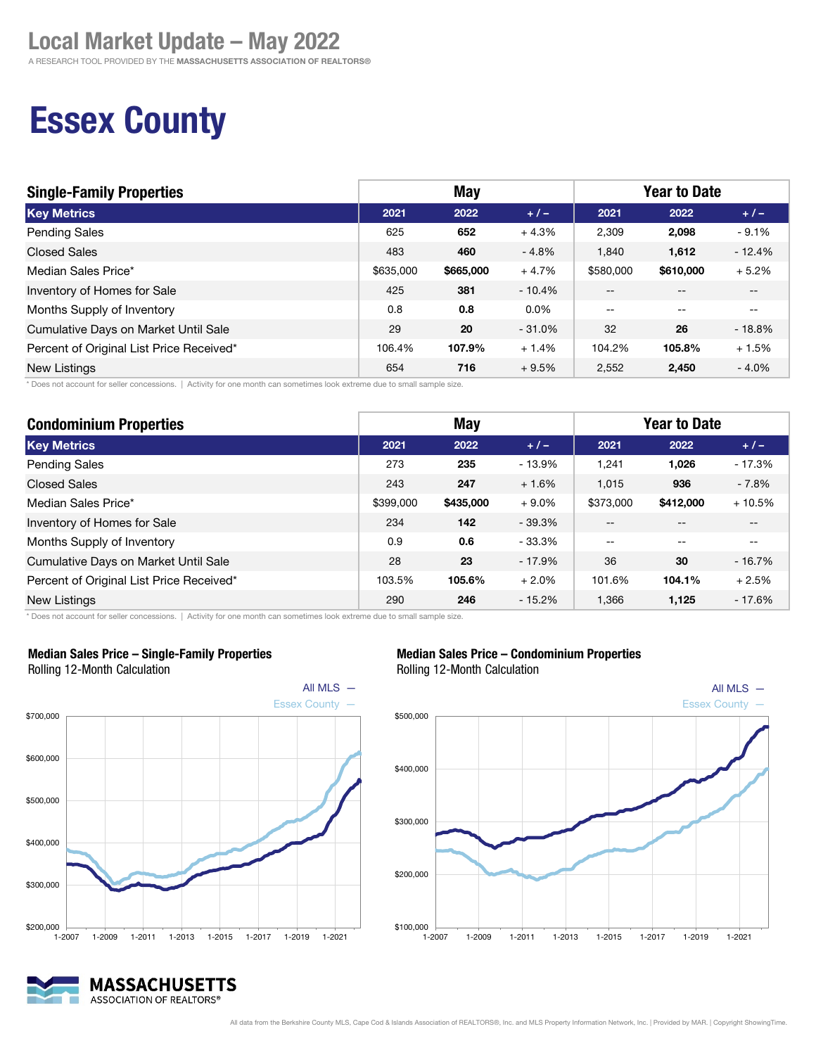A RESEARCH TOOL PROVIDED BY THE MASSACHUSETTS ASSOCIATION OF REALTORS®

## Essex County

| <b>Single-Family Properties</b>          | May       |           |           | <b>Year to Date</b>      |           |          |
|------------------------------------------|-----------|-----------|-----------|--------------------------|-----------|----------|
| <b>Key Metrics</b>                       | 2021      | 2022      | $+1-$     | 2021                     | 2022      | $+ 1 -$  |
| <b>Pending Sales</b>                     | 625       | 652       | $+4.3%$   | 2,309                    | 2,098     | $-9.1%$  |
| <b>Closed Sales</b>                      | 483       | 460       | $-4.8%$   | 1,840                    | 1,612     | $-12.4%$ |
| Median Sales Price*                      | \$635,000 | \$665,000 | $+4.7%$   | \$580,000                | \$610,000 | $+5.2%$  |
| Inventory of Homes for Sale              | 425       | 381       | $-10.4\%$ | $- -$                    | $- -$     | $- -$    |
| Months Supply of Inventory               | 0.8       | 0.8       | $0.0\%$   | $\overline{\phantom{m}}$ | $- -$     | $- -$    |
| Cumulative Days on Market Until Sale     | 29        | 20        | $-31.0\%$ | 32                       | 26        | $-18.8%$ |
| Percent of Original List Price Received* | 106.4%    | 107.9%    | $+1.4%$   | 104.2%                   | 105.8%    | $+1.5%$  |
| <b>New Listings</b>                      | 654       | 716       | $+9.5%$   | 2,552                    | 2,450     | $-4.0%$  |

\* Does not account for seller concessions. | Activity for one month can sometimes look extreme due to small sample size.

| <b>Condominium Properties</b>            | <b>May</b> |           |           | <b>Year to Date</b> |           |          |
|------------------------------------------|------------|-----------|-----------|---------------------|-----------|----------|
| <b>Key Metrics</b>                       | 2021       | 2022      | $+/-$     | 2021                | 2022      | $+/-$    |
| Pending Sales                            | 273        | 235       | $-13.9%$  | 1.241               | 1,026     | $-17.3%$ |
| <b>Closed Sales</b>                      | 243        | 247       | $+1.6%$   | 1,015               | 936       | $-7.8%$  |
| Median Sales Price*                      | \$399,000  | \$435,000 | $+9.0%$   | \$373,000           | \$412,000 | $+10.5%$ |
| Inventory of Homes for Sale              | 234        | 142       | $-39.3%$  | $- -$               | --        | $- -$    |
| Months Supply of Inventory               | 0.9        | 0.6       | $-33.3\%$ | $- -$               | --        | $- -$    |
| Cumulative Days on Market Until Sale     | 28         | 23        | $-17.9%$  | 36                  | 30        | $-16.7%$ |
| Percent of Original List Price Received* | 103.5%     | 105.6%    | $+2.0%$   | 101.6%              | 104.1%    | $+2.5%$  |
| <b>New Listings</b>                      | 290        | 246       | $-15.2%$  | 1.366               | 1,125     | $-17.6%$ |

 $$100,000$   $$-2007$ 

\* Does not account for seller concessions. | Activity for one month can sometimes look extreme due to small sample size.



#### Median Sales Price – Single-Family Properties



1-2007 1-2009 1-2011 1-2013 1-2015 1-2017 1-2019 1-2021

Median Sales Price – Condominium Properties Rolling 12-Month Calculation

MASSACHUSETTS ASSOCIATION OF REALTORS®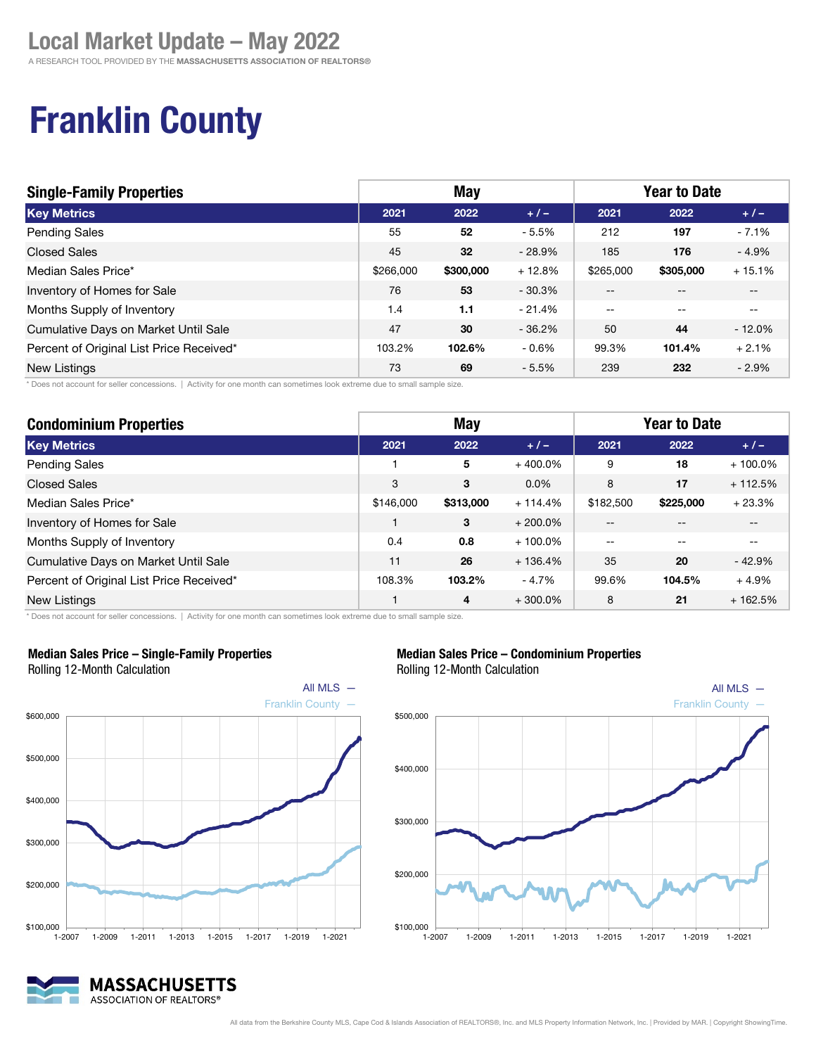A RESEARCH TOOL PROVIDED BY THE MASSACHUSETTS ASSOCIATION OF REALTORS®

## Franklin County

| <b>Single-Family Properties</b>          | May       |           |          | <b>Year to Date</b> |           |           |
|------------------------------------------|-----------|-----------|----------|---------------------|-----------|-----------|
| <b>Key Metrics</b>                       | 2021      | 2022      | $+1-$    | 2021                | 2022      | $+/-$     |
| <b>Pending Sales</b>                     | 55        | 52        | $-5.5%$  | 212                 | 197       | $-7.1%$   |
| <b>Closed Sales</b>                      | 45        | 32        | $-28.9%$ | 185                 | 176       | $-4.9%$   |
| Median Sales Price*                      | \$266,000 | \$300,000 | $+12.8%$ | \$265,000           | \$305,000 | $+15.1%$  |
| Inventory of Homes for Sale              | 76        | 53        | $-30.3%$ | $- -$               |           | --        |
| Months Supply of Inventory               | 1.4       | 1.1       | $-21.4%$ | $-$                 | $-$       | $- -$     |
| Cumulative Days on Market Until Sale     | 47        | 30        | $-36.2%$ | 50                  | 44        | $-12.0\%$ |
| Percent of Original List Price Received* | 103.2%    | 102.6%    | $-0.6\%$ | 99.3%               | 101.4%    | $+2.1%$   |
| New Listings                             | 73        | 69        | $-5.5%$  | 239                 | 232       | $-2.9%$   |

\* Does not account for seller concessions. | Activity for one month can sometimes look extreme due to small sample size.

| <b>Condominium Properties</b>            | <b>May</b> |           |            | <b>Year to Date</b> |           |            |
|------------------------------------------|------------|-----------|------------|---------------------|-----------|------------|
| <b>Key Metrics</b>                       | 2021       | 2022      | $+/-$      | 2021                | 2022      | $+/-$      |
| <b>Pending Sales</b>                     |            | 5         | $+400.0\%$ | 9                   | 18        | $+100.0\%$ |
| <b>Closed Sales</b>                      | 3          | 3         | $0.0\%$    | 8                   | 17        | $+112.5%$  |
| Median Sales Price*                      | \$146,000  | \$313,000 | $+114.4%$  | \$182,500           | \$225,000 | $+23.3%$   |
| Inventory of Homes for Sale              |            | 3         | $+200.0\%$ | --                  |           |            |
| Months Supply of Inventory               | 0.4        | 0.8       | $+100.0\%$ | --                  |           |            |
| Cumulative Days on Market Until Sale     | 11         | 26        | $+136.4%$  | 35                  | 20        | $-42.9%$   |
| Percent of Original List Price Received* | 108.3%     | 103.2%    | - 4.7%     | 99.6%               | 104.5%    | $+4.9%$    |
| <b>New Listings</b>                      |            | 4         | $+300.0\%$ | 8                   | 21        | $+162.5%$  |

\* Does not account for seller concessions. | Activity for one month can sometimes look extreme due to small sample size.



#### Median Sales Price – Single-Family Properties Rolling 12-Month Calculation

ASSOCIATION OF REALTORS®





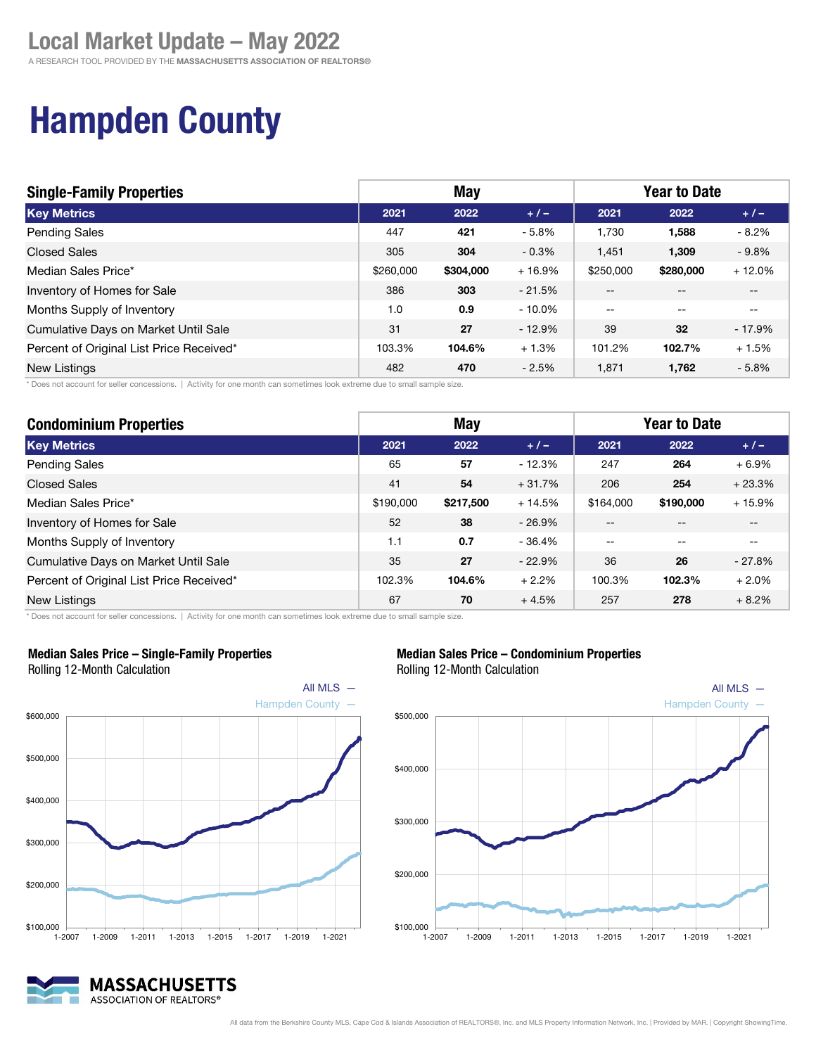A RESEARCH TOOL PROVIDED BY THE MASSACHUSETTS ASSOCIATION OF REALTORS®

# Hampden County

| <b>Single-Family Properties</b>          | May       |           |           | <b>Year to Date</b> |                                       |                   |
|------------------------------------------|-----------|-----------|-----------|---------------------|---------------------------------------|-------------------|
| <b>Key Metrics</b>                       | 2021      | 2022      | $+1-$     | 2021                | 2022                                  | $+/-$             |
| <b>Pending Sales</b>                     | 447       | 421       | $-5.8%$   | 1,730               | 1,588                                 | $-8.2\%$          |
| <b>Closed Sales</b>                      | 305       | 304       | $-0.3\%$  | 1.451               | 1.309                                 | $-9.8\%$          |
| Median Sales Price*                      | \$260,000 | \$304,000 | $+16.9%$  | \$250,000           | \$280,000                             | $+12.0%$          |
| Inventory of Homes for Sale              | 386       | 303       | $-21.5%$  | $-$                 | --                                    | $- -$             |
| Months Supply of Inventory               | 1.0       | 0.9       | $-10.0\%$ | $- -$               | $\hspace{0.05cm}$ – $\hspace{0.05cm}$ | $\hspace{0.05cm}$ |
| Cumulative Days on Market Until Sale     | 31        | 27        | $-12.9%$  | 39                  | 32                                    | $-17.9\%$         |
| Percent of Original List Price Received* | 103.3%    | 104.6%    | $+1.3%$   | 101.2%              | 102.7%                                | $+1.5%$           |
| New Listings                             | 482       | 470       | $-2.5%$   | 1.871               | 1,762                                 | $-5.8%$           |

\* Does not account for seller concessions. | Activity for one month can sometimes look extreme due to small sample size.

| <b>Condominium Properties</b>            | <b>May</b> |           |          | <b>Year to Date</b> |           |          |
|------------------------------------------|------------|-----------|----------|---------------------|-----------|----------|
| <b>Key Metrics</b>                       | 2021       | 2022      | $+1-$    | 2021                | 2022      | $+/-$    |
| Pending Sales                            | 65         | 57        | $-12.3%$ | 247                 | 264       | $+6.9%$  |
| <b>Closed Sales</b>                      | 41         | 54        | $+31.7%$ | 206                 | 254       | $+23.3%$ |
| Median Sales Price*                      | \$190,000  | \$217,500 | $+14.5%$ | \$164,000           | \$190,000 | $+15.9%$ |
| Inventory of Homes for Sale              | 52         | 38        | $-26.9%$ |                     |           |          |
| Months Supply of Inventory               | 1.1        | 0.7       | $-36.4%$ | --                  |           |          |
| Cumulative Days on Market Until Sale     | 35         | 27        | $-22.9%$ | 36                  | 26        | $-27.8%$ |
| Percent of Original List Price Received* | 102.3%     | 104.6%    | $+2.2%$  | 100.3%              | 102.3%    | $+2.0%$  |
| New Listings                             | 67         | 70        | $+4.5%$  | 257                 | 278       | $+8.2%$  |

\* Does not account for seller concessions. | Activity for one month can sometimes look extreme due to small sample size.



#### Median Sales Price – Single-Family Properties

Rolling 12-Month Calculation

#### MASSACHUSETTS ASSOCIATION OF REALTORS®

#### Median Sales Price – Condominium Properties

Rolling 12-Month Calculation

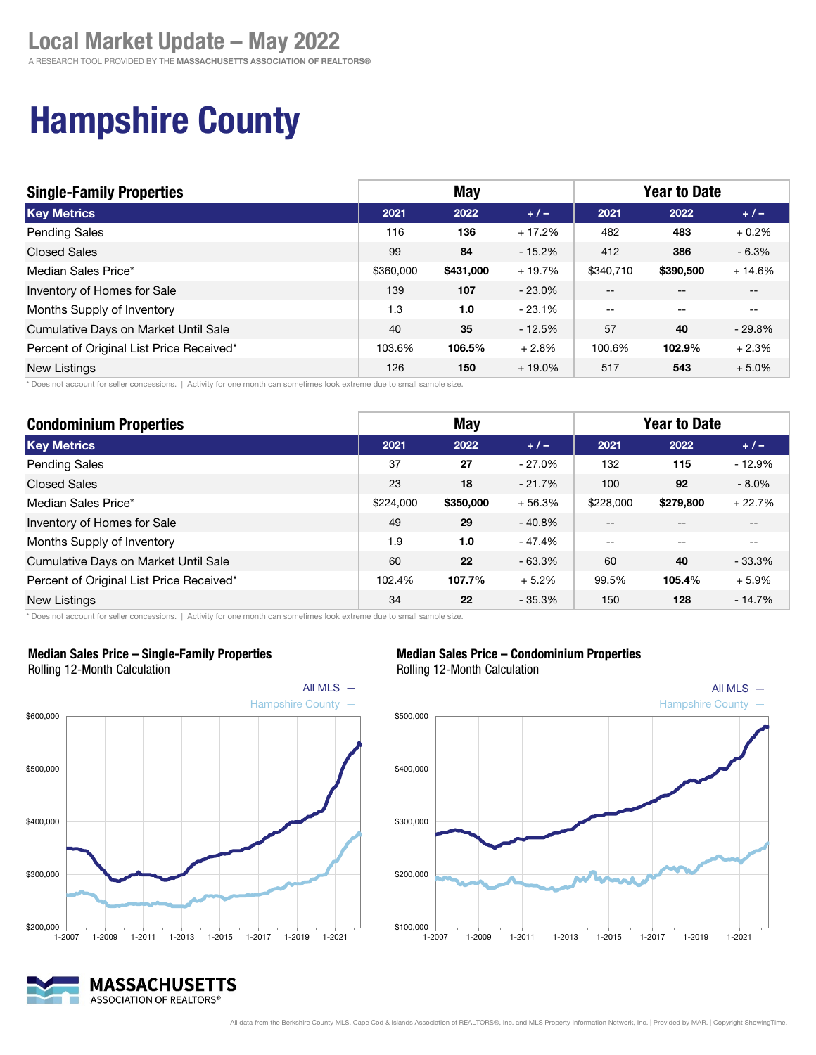## Hampshire County

| <b>Single-Family Properties</b>          | <b>May</b> |           |           | <b>Year to Date</b> |           |          |
|------------------------------------------|------------|-----------|-----------|---------------------|-----------|----------|
| <b>Key Metrics</b>                       | 2021       | 2022      | $+/-$     | 2021                | 2022      | $+/-$    |
| <b>Pending Sales</b>                     | 116        | 136       | $+17.2%$  | 482                 | 483       | $+0.2%$  |
| <b>Closed Sales</b>                      | 99         | 84        | $-15.2%$  | 412                 | 386       | $-6.3\%$ |
| Median Sales Price*                      | \$360,000  | \$431,000 | $+19.7%$  | \$340.710           | \$390,500 | $+14.6%$ |
| Inventory of Homes for Sale              | 139        | 107       | $-23.0%$  | $- -$               | $- -$     | --       |
| Months Supply of Inventory               | 1.3        | 1.0       | $-23.1%$  | $-$                 | $-$       | $- -$    |
| Cumulative Days on Market Until Sale     | 40         | 35        | $-12.5%$  | 57                  | 40        | $-29.8%$ |
| Percent of Original List Price Received* | 103.6%     | 106.5%    | $+2.8%$   | 100.6%              | 102.9%    | $+2.3%$  |
| New Listings                             | 126        | 150       | $+19.0\%$ | 517                 | 543       | $+5.0%$  |

\* Does not account for seller concessions. | Activity for one month can sometimes look extreme due to small sample size.

| <b>Condominium Properties</b>            | <b>May</b> |           |          | <b>Year to Date</b> |           |          |
|------------------------------------------|------------|-----------|----------|---------------------|-----------|----------|
| <b>Key Metrics</b>                       | 2021       | 2022      | $+1-$    | 2021                | 2022      | $+/-$    |
| Pending Sales                            | 37         | 27        | - 27.0%  | 132                 | 115       | $-12.9%$ |
| <b>Closed Sales</b>                      | 23         | 18        | $-21.7%$ | 100                 | 92        | $-8.0\%$ |
| Median Sales Price*                      | \$224,000  | \$350,000 | $+56.3%$ | \$228,000           | \$279,800 | $+22.7%$ |
| Inventory of Homes for Sale              | 49         | 29        | $-40.8%$ |                     |           |          |
| Months Supply of Inventory               | 1.9        | 1.0       | - 47.4%  | --                  |           | --       |
| Cumulative Days on Market Until Sale     | 60         | 22        | $-63.3%$ | 60                  | 40        | $-33.3%$ |
| Percent of Original List Price Received* | 102.4%     | 107.7%    | $+5.2%$  | 99.5%               | 105.4%    | $+5.9%$  |
| New Listings                             | 34         | 22        | $-35.3%$ | 150                 | 128       | $-14.7%$ |

\* Does not account for seller concessions. | Activity for one month can sometimes look extreme due to small sample size.



Median Sales Price – Single-Family Properties Rolling 12-Month Calculation



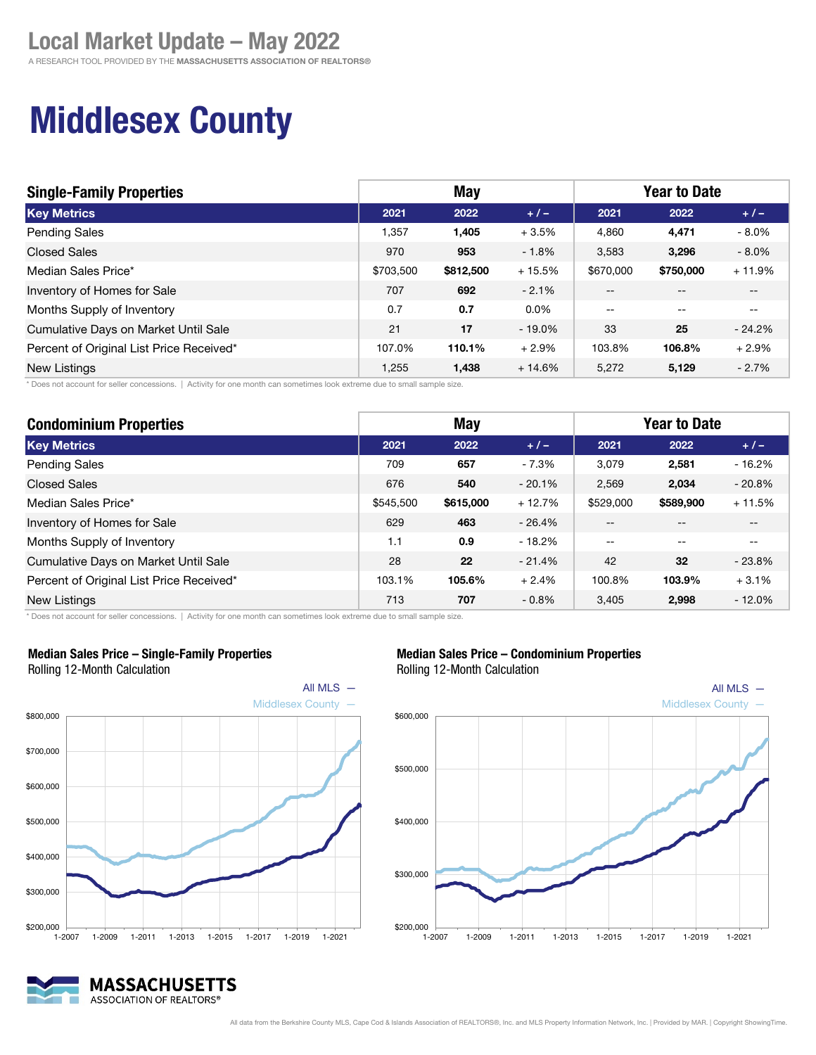A RESEARCH TOOL PROVIDED BY THE MASSACHUSETTS ASSOCIATION OF REALTORS®

## Middlesex County

| <b>Single-Family Properties</b>          |           | May       |           | <b>Year to Date</b> |           |           |  |
|------------------------------------------|-----------|-----------|-----------|---------------------|-----------|-----------|--|
| <b>Key Metrics</b>                       | 2021      | 2022      | $+1-$     | 2021                | 2022      | $+/-$     |  |
| <b>Pending Sales</b>                     | 1.357     | 1.405     | $+3.5%$   | 4.860               | 4,471     | $-8.0\%$  |  |
| <b>Closed Sales</b>                      | 970       | 953       | $-1.8%$   | 3,583               | 3.296     | $-8.0\%$  |  |
| Median Sales Price*                      | \$703,500 | \$812,500 | $+15.5%$  | \$670,000           | \$750,000 | $+11.9%$  |  |
| Inventory of Homes for Sale              | 707       | 692       | $-2.1%$   | $- -$               |           | $- -$     |  |
| Months Supply of Inventory               | 0.7       | 0.7       | $0.0\%$   | $-$                 | $-$       | $- -$     |  |
| Cumulative Days on Market Until Sale     | 21        | 17        | $-19.0\%$ | 33                  | 25        | $-24.2\%$ |  |
| Percent of Original List Price Received* | 107.0%    | 110.1%    | $+2.9%$   | 103.8%              | 106.8%    | $+2.9%$   |  |
| <b>New Listings</b>                      | 1,255     | 1,438     | $+14.6%$  | 5.272               | 5,129     | $-2.7%$   |  |

\* Does not account for seller concessions. | Activity for one month can sometimes look extreme due to small sample size.

| <b>Condominium Properties</b>            | <b>May</b> |           |          | <b>Year to Date</b> |           |          |
|------------------------------------------|------------|-----------|----------|---------------------|-----------|----------|
| <b>Key Metrics</b>                       | 2021       | 2022      | $+1-$    | 2021                | 2022      | $+/-$    |
| Pending Sales                            | 709        | 657       | $-7.3%$  | 3,079               | 2,581     | $-16.2%$ |
| <b>Closed Sales</b>                      | 676        | 540       | $-20.1%$ | 2.569               | 2,034     | $-20.8%$ |
| Median Sales Price*                      | \$545,500  | \$615,000 | $+12.7%$ | \$529,000           | \$589,900 | $+11.5%$ |
| Inventory of Homes for Sale              | 629        | 463       | $-26.4%$ | --                  |           | --       |
| Months Supply of Inventory               | 1.1        | 0.9       | $-18.2%$ | $- -$               |           | $- -$    |
| Cumulative Days on Market Until Sale     | 28         | 22        | $-21.4%$ | 42                  | 32        | $-23.8%$ |
| Percent of Original List Price Received* | 103.1%     | 105.6%    | $+2.4%$  | 100.8%              | 103.9%    | $+3.1%$  |
| New Listings                             | 713        | 707       | $-0.8\%$ | 3.405               | 2,998     | $-12.0%$ |

\* Does not account for seller concessions. | Activity for one month can sometimes look extreme due to small sample size.



#### Median Sales Price – Single-Family Properties



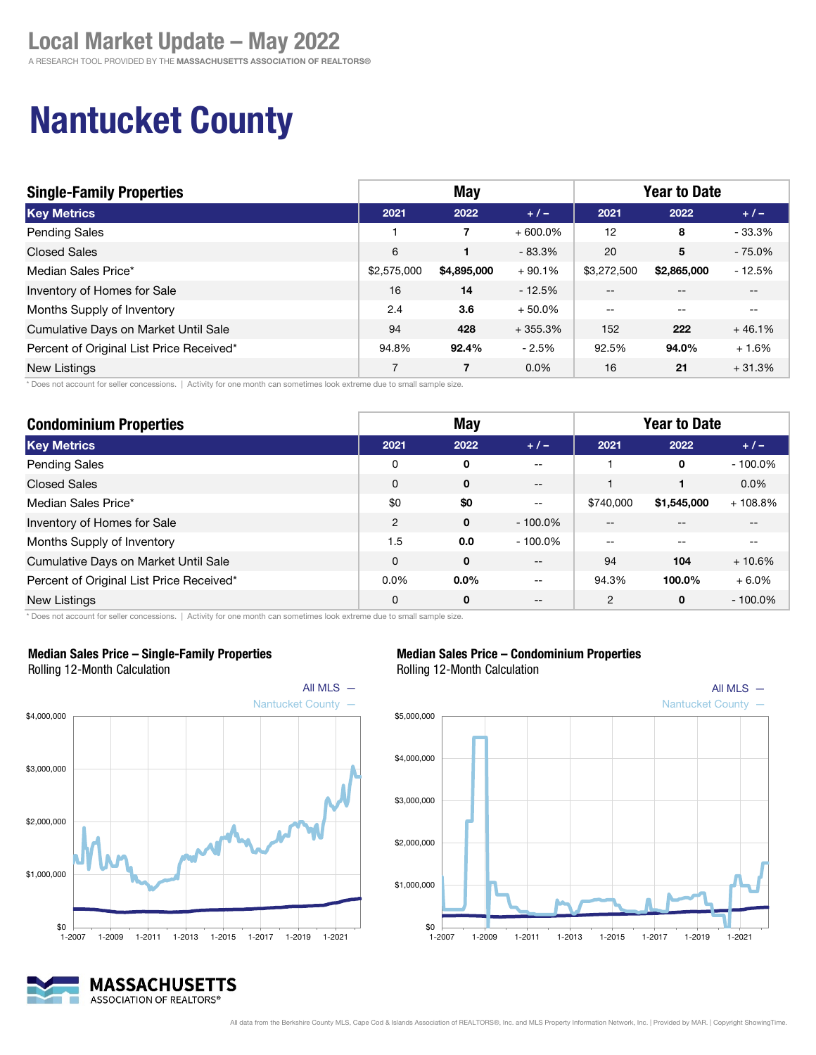## Nantucket County

| <b>Single-Family Properties</b>          | May         |             |            | <b>Year to Date</b> |             |          |
|------------------------------------------|-------------|-------------|------------|---------------------|-------------|----------|
| <b>Key Metrics</b>                       | 2021        | 2022        | $+/-$      | 2021                | 2022        | $+1-$    |
| <b>Pending Sales</b>                     |             | 7           | $+600.0\%$ | 12                  | 8           | $-33.3%$ |
| <b>Closed Sales</b>                      | 6           | 1           | $-83.3%$   | 20                  | 5           | $-75.0%$ |
| Median Sales Price*                      | \$2,575,000 | \$4,895,000 | $+90.1%$   | \$3,272,500         | \$2,865,000 | $-12.5%$ |
| Inventory of Homes for Sale              | 16          | 14          | $-12.5%$   | $- -$               | $- -$       | $- -$    |
| Months Supply of Inventory               | 2.4         | 3.6         | $+50.0\%$  | $-$                 | $-$         | $- -$    |
| Cumulative Days on Market Until Sale     | 94          | 428         | $+355.3%$  | 152                 | 222         | $+46.1%$ |
| Percent of Original List Price Received* | 94.8%       | 92.4%       | $-2.5%$    | 92.5%               | 94.0%       | $+1.6%$  |
| New Listings                             | 7           | 7           | $0.0\%$    | 16                  | 21          | $+31.3%$ |

\* Does not account for seller concessions. | Activity for one month can sometimes look extreme due to small sample size.

| <b>Condominium Properties</b>            | <b>May</b>     |              |                   | <b>Year to Date</b> |             |            |  |
|------------------------------------------|----------------|--------------|-------------------|---------------------|-------------|------------|--|
| <b>Key Metrics</b>                       | 2021           | 2022         | $+1-$             | 2021                | 2022        | $+/-$      |  |
| <b>Pending Sales</b>                     | 0              | 0            | $- -$             |                     | 0           | $-100.0\%$ |  |
| <b>Closed Sales</b>                      | $\Omega$       | $\mathbf{0}$ | $- -$             |                     |             | $0.0\%$    |  |
| Median Sales Price*                      | \$0            | \$0          | $\qquad \qquad -$ | \$740,000           | \$1,545,000 | $+108.8%$  |  |
| Inventory of Homes for Sale              | $\overline{2}$ | $\mathbf{0}$ | $-100.0\%$        | --                  |             |            |  |
| Months Supply of Inventory               | 1.5            | 0.0          | $-100.0\%$        | --                  |             |            |  |
| Cumulative Days on Market Until Sale     | $\Omega$       | $\mathbf 0$  | $\qquad \qquad -$ | 94                  | 104         | $+10.6%$   |  |
| Percent of Original List Price Received* | $0.0\%$        | $0.0\%$      | $- -$             | 94.3%               | 100.0%      | $+6.0%$    |  |
| New Listings                             | 0              | 0            | $- -$             | 2                   | 0           | $-100.0\%$ |  |

\* Does not account for seller concessions. | Activity for one month can sometimes look extreme due to small sample size.



#### Median Sales Price – Single-Family Properties

Rolling 12-Month Calculation

#### Median Sales Price – Condominium Properties



### Rolling 12-Month Calculation

MASSACHUSETTS ASSOCIATION OF REALTORS®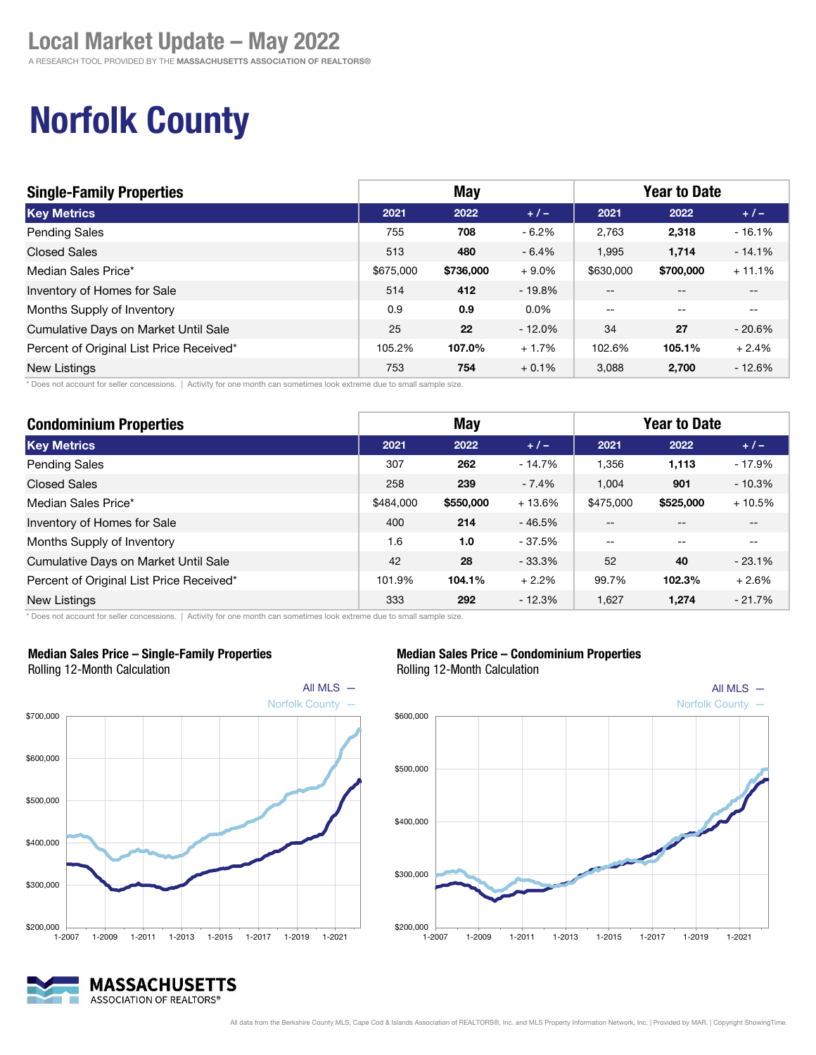A RESEARCH TOOL PROVIDED BY THE MASSACHUSETTS ASSOCIATION OF REALTORS®

## Norfolk County

| <b>Single-Family Properties</b>          | May       |           |          | <b>Year to Date</b> |                                       |          |
|------------------------------------------|-----------|-----------|----------|---------------------|---------------------------------------|----------|
| <b>Key Metrics</b>                       | 2021      | 2022      | $+ 1 -$  | 2021                | 2022                                  | $+1-$    |
| <b>Pending Sales</b>                     | 755       | 708       | $-6.2%$  | 2.763               | 2,318                                 | $-16.1%$ |
| <b>Closed Sales</b>                      | 513       | 480       | $-6.4%$  | 1,995               | 1,714                                 | $-14.1%$ |
| Median Sales Price*                      | \$675,000 | \$736,000 | $+9.0%$  | \$630,000           | \$700,000                             | $+11.1%$ |
| Inventory of Homes for Sale              | 514       | 412       | $-19.8%$ | $- -$               | $- -$                                 | $- -$    |
| Months Supply of Inventory               | 0.9       | 0.9       | $0.0\%$  | $-$                 | $\hspace{0.05cm}$ – $\hspace{0.05cm}$ | $- -$    |
| Cumulative Days on Market Until Sale     | 25        | 22        | $-12.0%$ | 34                  | 27                                    | $-20.6%$ |
| Percent of Original List Price Received* | 105.2%    | 107.0%    | $+1.7%$  | 102.6%              | 105.1%                                | $+2.4%$  |
| <b>New Listings</b>                      | 753       | 754       | $+0.1%$  | 3.088               | 2,700                                 | $-12.6%$ |

\* Does not account for seller concessions. | Activity for one month can sometimes look extreme due to small sample size.

| <b>Condominium Properties</b>            | <b>May</b> |           |          | <b>Year to Date</b> |           |          |
|------------------------------------------|------------|-----------|----------|---------------------|-----------|----------|
| <b>Key Metrics</b>                       | 2021       | 2022      | $+/-$    | 2021                | 2022      | $+/-$    |
| Pending Sales                            | 307        | 262       | $-14.7%$ | 1,356               | 1,113     | $-17.9%$ |
| <b>Closed Sales</b>                      | 258        | 239       | $-7.4%$  | 1,004               | 901       | $-10.3%$ |
| Median Sales Price*                      | \$484,000  | \$550,000 | $+13.6%$ | \$475,000           | \$525,000 | $+10.5%$ |
| Inventory of Homes for Sale              | 400        | 214       | $-46.5%$ | $- -$               | --        | $- -$    |
| Months Supply of Inventory               | 1.6        | 1.0       | - 37.5%  | $- -$               | --        | $- -$    |
| Cumulative Days on Market Until Sale     | 42         | 28        | $-33.3%$ | 52                  | 40        | $-23.1%$ |
| Percent of Original List Price Received* | 101.9%     | 104.1%    | $+2.2%$  | 99.7%               | 102.3%    | $+2.6%$  |
| <b>New Listings</b>                      | 333        | 292       | $-12.3%$ | 1.627               | 1,274     | $-21.7%$ |

\* Does not account for seller concessions. | Activity for one month can sometimes look extreme due to small sample size.



#### Median Sales Price – Single-Family Properties

Rolling 12-Month Calculation

## MASSACHUSETTS ASSOCIATION OF REALTORS®







All MLS  $-$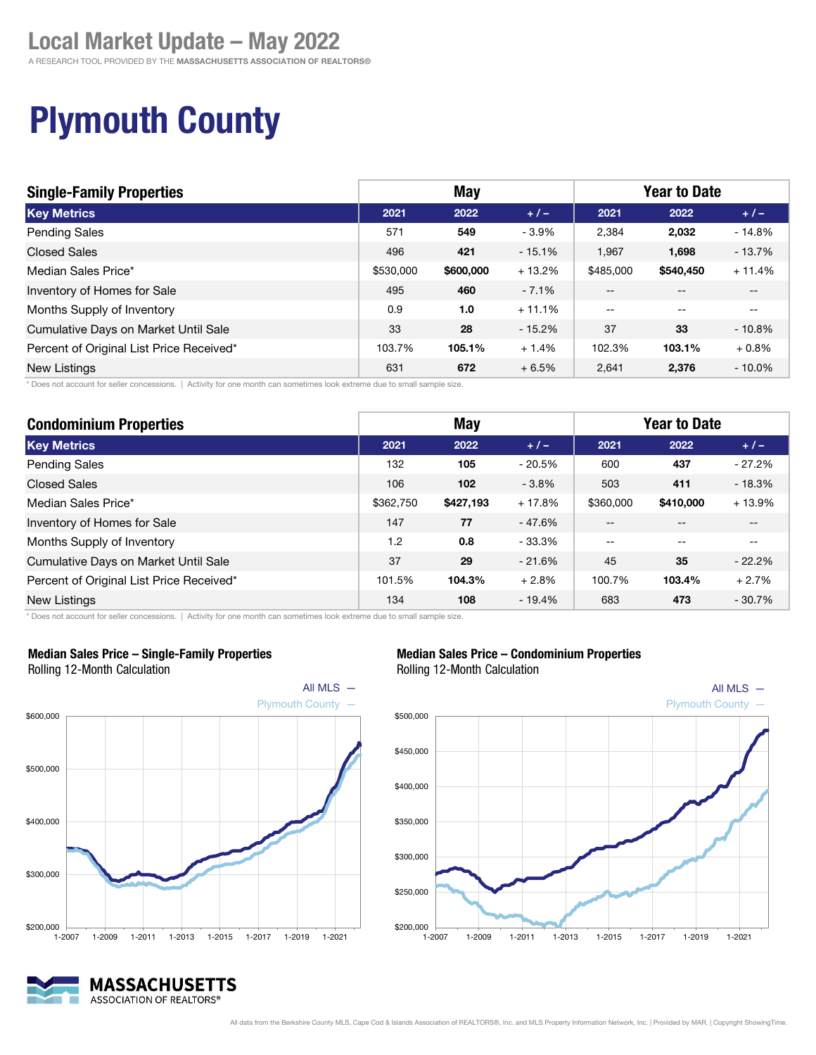A RESEARCH TOOL PROVIDED BY THE MASSACHUSETTS ASSOCIATION OF REALTORS®

## Plymouth County

| <b>Single-Family Properties</b>          | May       |           |           | <b>Year to Date</b> |                   |           |
|------------------------------------------|-----------|-----------|-----------|---------------------|-------------------|-----------|
| <b>Key Metrics</b>                       | 2021      | 2022      | $+/-$     | 2021                | 2022              | $+1-$     |
| <b>Pending Sales</b>                     | 571       | 549       | $-3.9%$   | 2,384               | 2,032             | $-14.8%$  |
| <b>Closed Sales</b>                      | 496       | 421       | $-15.1\%$ | 1,967               | 1,698             | - 13.7%   |
| Median Sales Price*                      | \$530,000 | \$600,000 | $+13.2%$  | \$485,000           | \$540,450         | $+11.4%$  |
| Inventory of Homes for Sale              | 495       | 460       | $-7.1%$   | $\sim$ $\sim$       | $- -$             | $- -$     |
| Months Supply of Inventory               | 0.9       | 1.0       | $+11.1%$  | $\qquad \qquad -$   | $\hspace{0.05cm}$ | $- -$     |
| Cumulative Days on Market Until Sale     | 33        | 28        | $-15.2\%$ | 37                  | 33                | $-10.8%$  |
| Percent of Original List Price Received* | 103.7%    | 105.1%    | $+1.4%$   | 102.3%              | 103.1%            | $+0.8\%$  |
| <b>New Listings</b>                      | 631       | 672       | $+6.5%$   | 2.641               | 2,376             | $-10.0\%$ |

\* Does not account for seller concessions. | Activity for one month can sometimes look extreme due to small sample size.

| <b>Condominium Properties</b>            | <b>May</b> |           |          | <b>Year to Date</b> |           |          |
|------------------------------------------|------------|-----------|----------|---------------------|-----------|----------|
| <b>Key Metrics</b>                       | 2021       | 2022      | $+1-$    | 2021                | 2022      | $+/-$    |
| <b>Pending Sales</b>                     | 132        | 105       | $-20.5%$ | 600                 | 437       | $-27.2%$ |
| <b>Closed Sales</b>                      | 106        | 102       | $-3.8%$  | 503                 | 411       | $-18.3%$ |
| Median Sales Price*                      | \$362,750  | \$427,193 | $+17.8%$ | \$360,000           | \$410,000 | $+13.9%$ |
| Inventory of Homes for Sale              | 147        | 77        | - 47.6%  | --                  |           | --       |
| Months Supply of Inventory               | 1.2        | 0.8       | $-33.3%$ | $- -$               |           | $-$      |
| Cumulative Days on Market Until Sale     | 37         | 29        | $-21.6%$ | 45                  | 35        | $-22.2%$ |
| Percent of Original List Price Received* | 101.5%     | 104.3%    | $+2.8%$  | 100.7%              | 103.4%    | $+2.7%$  |
| New Listings                             | 134        | 108       | $-19.4%$ | 683                 | 473       | $-30.7%$ |

\* Does not account for seller concessions. | Activity for one month can sometimes look extreme due to small sample size.



Median Sales Price – Single-Family Properties



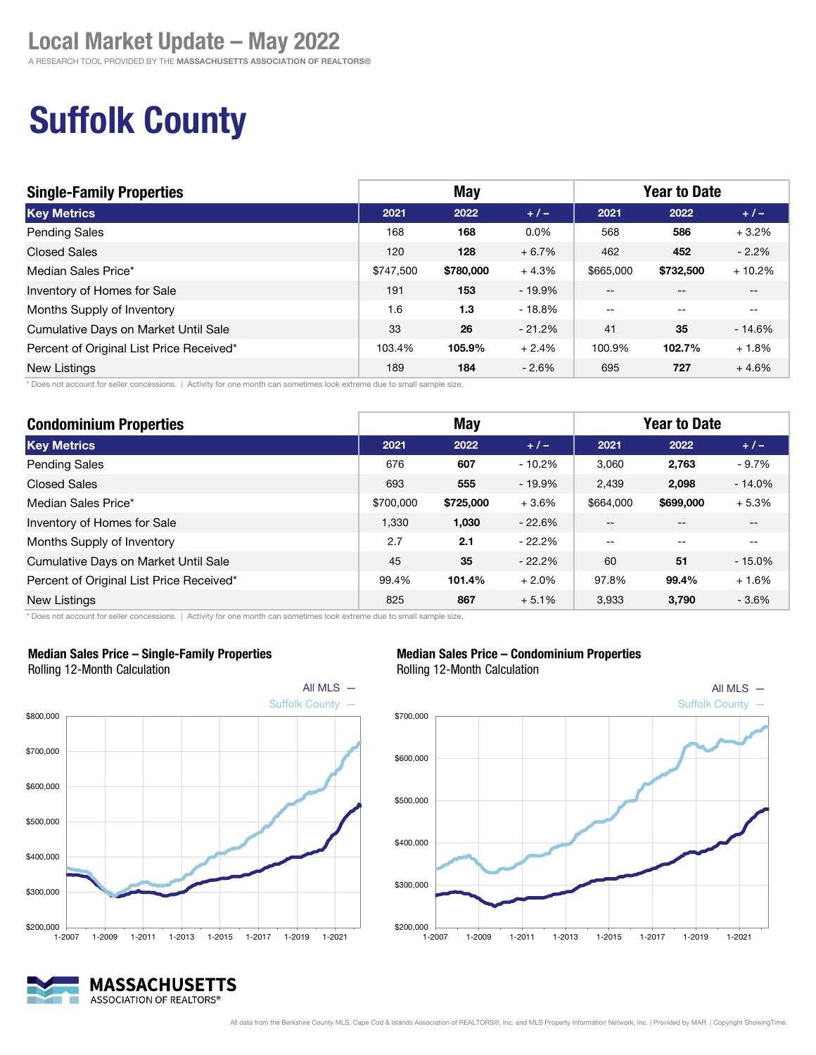A RESEARCH TOOL PROVIDED BY THE MASSACHUSETTS ASSOCIATION OF REALTORS®

## Suffolk County

| <b>Single-Family Properties</b>          | May       |           |          | <b>Year to Date</b>      |                          |                          |
|------------------------------------------|-----------|-----------|----------|--------------------------|--------------------------|--------------------------|
| <b>Key Metrics</b>                       | 2021      | 2022      | $+1-$    | 2021                     | 2022                     | $+/-$                    |
| <b>Pending Sales</b>                     | 168       | 168       | $0.0\%$  | 568                      | 586                      | $+3.2%$                  |
| <b>Closed Sales</b>                      | 120       | 128       | $+6.7%$  | 462                      | 452                      | $-2.2\%$                 |
| Median Sales Price*                      | \$747,500 | \$780,000 | $+4.3%$  | \$665,000                | \$732,500                | $+10.2%$                 |
| Inventory of Homes for Sale              | 191       | 153       | - 19.9%  | $-$                      |                          | $ -$                     |
| Months Supply of Inventory               | 1.6       | 1.3       | $-18.8%$ | $\overline{\phantom{m}}$ | $\overline{\phantom{m}}$ | $\overline{\phantom{m}}$ |
| Cumulative Days on Market Until Sale     | 33        | 26        | $-21.2%$ | 41                       | 35                       | $-14.6%$                 |
| Percent of Original List Price Received* | 103.4%    | 105.9%    | $+2.4%$  | 100.9%                   | 102.7%                   | $+1.8%$                  |
| <b>New Listings</b>                      | 189       | 184       | $-2.6%$  | 695                      | 727                      | $+4.6%$                  |

\* Does not account for seller concessions. | Activity for one month can sometimes look extreme due to small sample size.

| <b>Condominium Properties</b>            | <b>May</b> |           |          | <b>Year to Date</b> |           |          |
|------------------------------------------|------------|-----------|----------|---------------------|-----------|----------|
| <b>Key Metrics</b>                       | 2021       | 2022      | $+/-$    | 2021                | 2022      | $+/-$    |
| <b>Pending Sales</b>                     | 676        | 607       | $-10.2%$ | 3,060               | 2,763     | $-9.7%$  |
| <b>Closed Sales</b>                      | 693        | 555       | $-19.9%$ | 2,439               | 2,098     | $-14.0%$ |
| Median Sales Price*                      | \$700,000  | \$725,000 | $+3.6%$  | \$664,000           | \$699,000 | $+5.3%$  |
| Inventory of Homes for Sale              | 1,330      | 1,030     | $-22.6%$ | $- -$               |           | --       |
| Months Supply of Inventory               | 2.7        | 2.1       | $-22.2%$ | $- -$               | --        | --       |
| Cumulative Days on Market Until Sale     | 45         | 35        | $-22.2%$ | 60                  | 51        | $-15.0%$ |
| Percent of Original List Price Received* | 99.4%      | 101.4%    | $+2.0%$  | 97.8%               | 99.4%     | $+1.6%$  |
| New Listings                             | 825        | 867       | $+5.1%$  | 3,933               | 3,790     | $-3.6%$  |

\* Does not account for seller concessions. | Activity for one month can sometimes look extreme due to small sample size.



#### Median Sales Price – Single-Family Properties

Rolling 12-Month Calculation

### $$200,000$   $\overline{\phantom{0}}$  1-2007 MASSACHUSETTS ASSOCIATION OF REALTORS®





#### All data from the Berkshire County MLS, Cape Cod & Islands Association of REALTORS®, Inc. and MLS Property Information Network, Inc. | Provided by MAR. | Copyright ShowingTime.